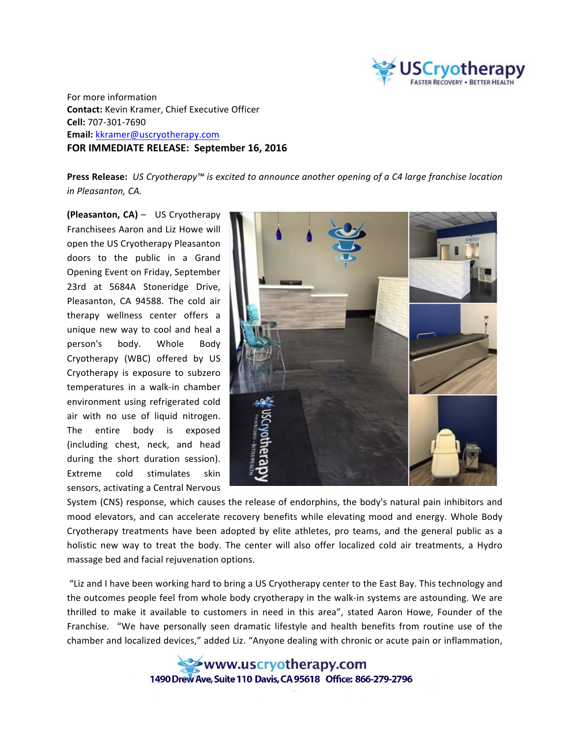

For more information **Contact:** Kevin Kramer, Chief Executive Officer **Cell:** 707-301-7690 **Email:** kkramer@uscryotherapy.com **FOR IMMEDIATE RELEASE: September 16, 2016** 

**Press Release:** *US Cryotherapy™* is excited to announce another opening of a C4 large franchise location *in Pleasanton, CA.*

**(Pleasanton, CA)** – US Cryotherapy Franchisees Aaron and Liz Howe will open the US Cryotherapy Pleasanton doors to the public in a Grand Opening Event on Friday, September 23rd at 5684A Stoneridge Drive, Pleasanton, CA 94588. The cold air therapy wellness center offers a unique new way to cool and heal a person's body. Whole Body Cryotherapy (WBC) offered by US Cryotherapy is exposure to subzero temperatures in a walk-in chamber environment using refrigerated cold air with no use of liquid nitrogen. The entire body is exposed (including chest, neck, and head during the short duration session). Extreme cold stimulates skin sensors, activating a Central Nervous



System (CNS) response, which causes the release of endorphins, the body's natural pain inhibitors and mood elevators, and can accelerate recovery benefits while elevating mood and energy. Whole Body Cryotherapy treatments have been adopted by elite athletes, pro teams, and the general public as a holistic new way to treat the body. The center will also offer localized cold air treatments, a Hydro massage bed and facial rejuvenation options.

"Liz and I have been working hard to bring a US Cryotherapy center to the East Bay. This technology and the outcomes people feel from whole body cryotherapy in the walk-in systems are astounding. We are thrilled to make it available to customers in need in this area", stated Aaron Howe, Founder of the Franchise. "We have personally seen dramatic lifestyle and health benefits from routine use of the chamber and localized devices," added Liz. "Anyone dealing with chronic or acute pain or inflammation,

> www.uscryotherapy.com 1490 Drew Ave, Suite 110 Davis, CA 95618 Office: 866-279-2796